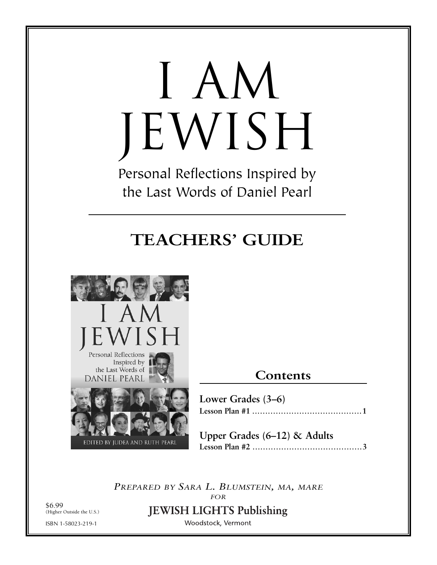# I AM **JEWISH**

Personal Reflections Inspired by the Last Words of Daniel Pearl

# **TEACHERS' GUIDE**





# **Contents**

**Lower Grades (3–6) Lesson Plan #1** . . . . . . . . . . . . . . . . . . . . . . . . . . . . . . . . . . . . . . . . . .**1**

**Upper Grades (6–12) & Adults Lesson Plan #2** . . . . . . . . . . . . . . . . . . . . . . . . . . . . . . . . . . . . . . . . . .**3**

*PREPARED BY SARA L. BLUMSTEIN, MA, MARE*

*FOR*

\$6.99 (Higher Outside the U.S.)

ISBN 1-58023-219-1

**JEWISH LIGHTS Publishing** 

Woodstock, Vermont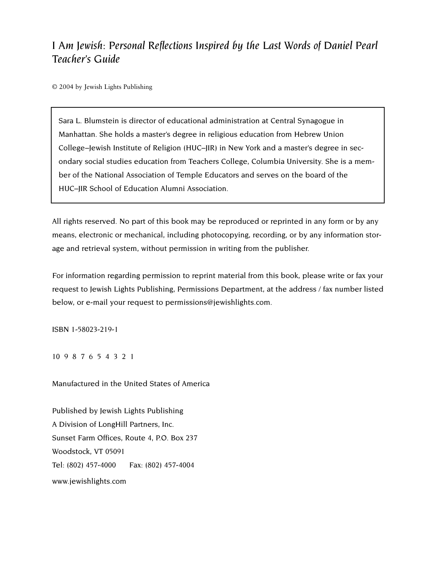# *I Am Jewish: Personal Reflections Inspired by the Last Words of Daniel Pearl Teacher's Guide*

© 2004 by Jewish Lights Publishing

Sara L. Blumstein is director of educational administration at Central Synagogue in Manhattan. She holds a master's degree in religious education from Hebrew Union College–Jewish Institute of Religion (HUC–JIR) in New York and a master's degree in secondary social studies education from Teachers College, Columbia University. She is a member of the National Association of Temple Educators and serves on the board of the HUC–JIR School of Education Alumni Association.

All rights reserved. No part of this book may be reproduced or reprinted in any form or by any means, electronic or mechanical, including photocopying, recording, or by any information storage and retrieval system, without permission in writing from the publisher.

For information regarding permission to reprint material from this book, please write or fax your request to Jewish Lights Publishing, Permissions Department, at the address / fax number listed below, or e-mail your request to permissions@jewishlights.com.

ISBN 1-58023-219-1

10 9 8 7 6 5 4 3 2 1

Manufactured in the United States of America

Published by Jewish Lights Publishing A Division of LongHill Partners, Inc. Sunset Farm Offices, Route 4, P.O. Box 237 Woodstock, VT 05091 Tel: (802) 457-4000 Fax: (802) 457-4004 www.jewishlights.com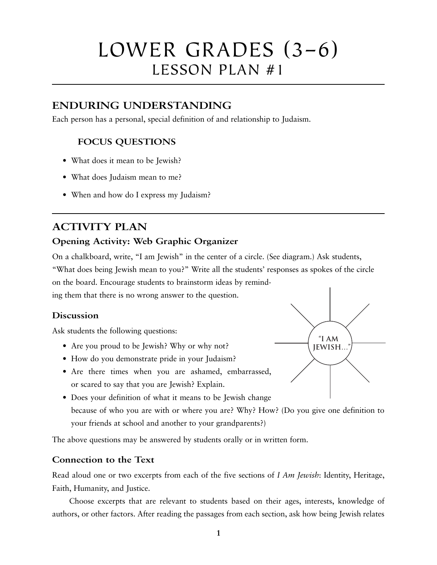# LOWER GRADES (3–6) LESSON PLAN #1

## **ENDURING UNDERSTANDING**

Each person has a personal, special definition of and relationship to Judaism.

#### **FOCUS QUESTIONS**

- What does it mean to be Jewish?
- What does Judaism mean to me?
- When and how do I express my Judaism?

## **ACTIVITY PLAN**

#### **Opening Activity: Web Graphic Organizer**

On a chalkboard, write, "I am Jewish" in the center of a circle. (See diagram.) Ask students, "What does being Jewish mean to you?" Write all the students' responses as spokes of the circle on the board. Encourage students to brainstorm ideas by reminding them that there is no wrong answer to the question.

#### **Discussion**

Ask students the following questions:

- Are you proud to be Jewish? Why or why not?
- How do you demonstrate pride in your Judaism?
- Are there times when you are ashamed, embarrassed, or scared to say that you are Jewish? Explain.
- Does your definition of what it means to be Jewish change because of who you are with or where you are? Why? How? (Do you give one definition to your friends at school and another to your grandparents?)

The above questions may be answered by students orally or in written form.

#### **Connection to the Text**

Read aloud one or two excerpts from each of the five sections of *I Am Jewish*: Identity, Heritage, Faith, Humanity, and Justice.

Choose excerpts that are relevant to students based on their ages, interests, knowledge of authors, or other factors. After reading the passages from each section, ask how being Jewish relates

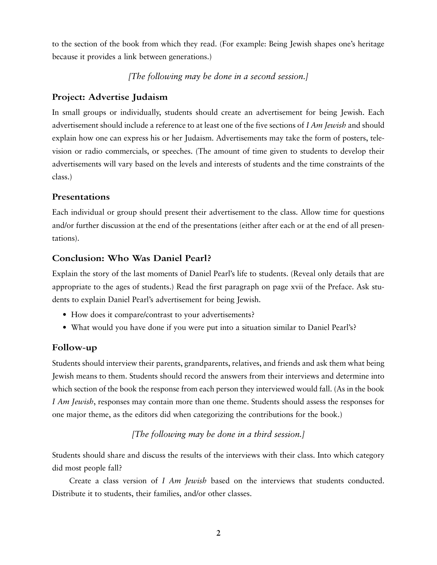to the section of the book from which they read. (For example: Being Jewish shapes one's heritage because it provides a link between generations.)

*[The following may be done in a second session.]*

#### **Project: Advertise Judaism**

In small groups or individually, students should create an advertisement for being Jewish. Each advertisement should include a reference to at least one of the five sections of *I Am Jewish* and should explain how one can express his or her Judaism. Advertisements may take the form of posters, television or radio commercials, or speeches. (The amount of time given to students to develop their advertisements will vary based on the levels and interests of students and the time constraints of the class.)

#### **Presentations**

Each individual or group should present their advertisement to the class. Allow time for questions and/or further discussion at the end of the presentations (either after each or at the end of all presentations).

#### **Conclusion: Who Was Daniel Pearl?**

Explain the story of the last moments of Daniel Pearl's life to students. (Reveal only details that are appropriate to the ages of students.) Read the first paragraph on page xvii of the Preface. Ask students to explain Daniel Pearl's advertisement for being Jewish.

- How does it compare/contrast to your advertisements?
- What would you have done if you were put into a situation similar to Daniel Pearl's?

#### **Follow-up**

Students should interview their parents, grandparents, relatives, and friends and ask them what being Jewish means to them. Students should record the answers from their interviews and determine into which section of the book the response from each person they interviewed would fall. (As in the book *I Am Jewish*, responses may contain more than one theme. Students should assess the responses for one major theme, as the editors did when categorizing the contributions for the book.)

*[The following may be done in a third session.]*

Students should share and discuss the results of the interviews with their class. Into which category did most people fall?

Create a class version of *I Am Jewish* based on the interviews that students conducted. Distribute it to students, their families, and/or other classes.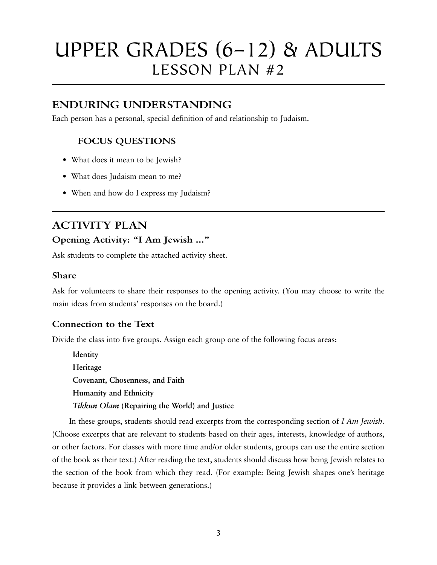# UPPER GRADES (6–12) & ADULTS LESSON PLAN #2

# **ENDURING UNDERSTANDING**

Each person has a personal, special definition of and relationship to Judaism.

## **FOCUS QUESTIONS**

- What does it mean to be Jewish?
- What does Judaism mean to me?
- When and how do I express my Judaism?

# **ACTIVITY PLAN Opening Activity: "I Am Jewish ..."**

Ask students to complete the attached activity sheet.

#### **Share**

Ask for volunteers to share their responses to the opening activity. (You may choose to write the main ideas from students' responses on the board.)

### **Connection to the Text**

Divide the class into five groups. Assign each group one of the following focus areas:

**Identity Heritage Covenant, Chosenness, and Faith Humanity and Ethnicity** *Tikkun Olam* **(Repairing the World) and Justice**

In these groups, students should read excerpts from the corresponding section of *I Am Jewish.* (Choose excerpts that are relevant to students based on their ages, interests, knowledge of authors, or other factors. For classes with more time and/or older students, groups can use the entire section of the book as their text.) After reading the text, students should discuss how being Jewish relates to the section of the book from which they read. (For example: Being Jewish shapes one's heritage because it provides a link between generations.)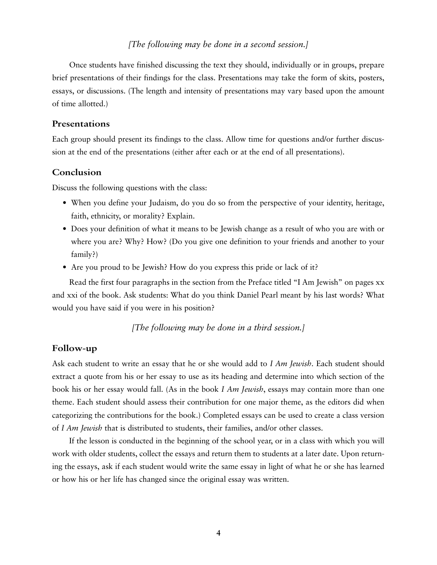#### *[The following may be done in a second session.]*

Once students have finished discussing the text they should, individually or in groups, prepare brief presentations of their findings for the class. Presentations may take the form of skits, posters, essays, or discussions. (The length and intensity of presentations may vary based upon the amount of time allotted.)

#### **Presentations**

Each group should present its findings to the class. Allow time for questions and/or further discussion at the end of the presentations (either after each or at the end of all presentations).

#### **Conclusion**

Discuss the following questions with the class:

- When you define your Judaism, do you do so from the perspective of your identity, heritage, faith, ethnicity, or morality? Explain.
- Does your definition of what it means to be Jewish change as a result of who you are with or where you are? Why? How? (Do you give one definition to your friends and another to your family?)
- Are you proud to be Jewish? How do you express this pride or lack of it?

Read the first four paragraphs in the section from the Preface titled "I Am Jewish" on pages xx and xxi of the book. Ask students: What do you think Daniel Pearl meant by his last words? What would you have said if you were in his position?

*[The following may be done in a third session.]*

#### **Follow-up**

Ask each student to write an essay that he or she would add to *I Am Jewish*. Each student should extract a quote from his or her essay to use as its heading and determine into which section of the book his or her essay would fall. (As in the book *I Am Jewish*, essays may contain more than one theme. Each student should assess their contribution for one major theme, as the editors did when categorizing the contributions for the book.) Completed essays can be used to create a class version of *I Am Jewish* that is distributed to students, their families, and/or other classes.

If the lesson is conducted in the beginning of the school year, or in a class with which you will work with older students, collect the essays and return them to students at a later date. Upon returning the essays, ask if each student would write the same essay in light of what he or she has learned or how his or her life has changed since the original essay was written.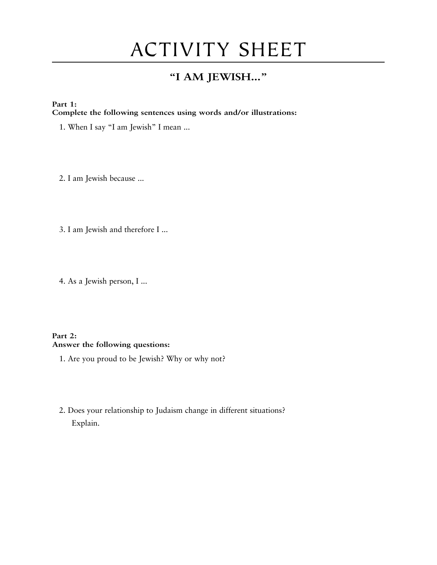# ACTIVITY SHEET

# **"I AM JEWISH..."**

#### **Part 1: Complete the following sentences using words and/or illustrations:**

1. When I say "I am Jewish" I mean ...

2. I am Jewish because ...

3. I am Jewish and therefore I ...

4. As a Jewish person, I ...

#### **Part 2: Answer the following questions:**

1. Are you proud to be Jewish? Why or why not?

2. Does your relationship to Judaism change in different situations? Explain.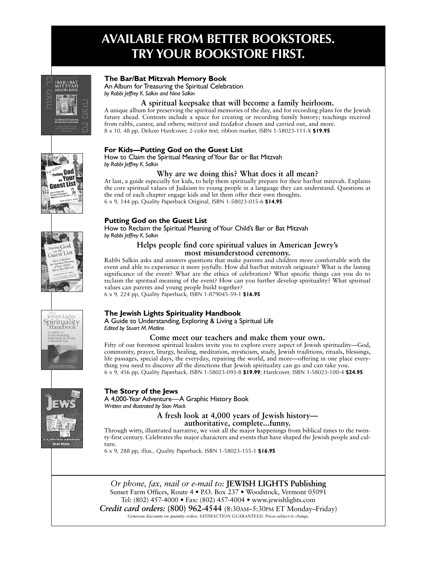# **AVAILABLE FROM BETTER BOOKSTORES. TRY YOUR BOOKSTORE FIRST.**









#### **The Bar/Bat Mitzvah Memory Book**

An Album for Treasuring the Spiritual Celebration *by Rabbi Jeffrey K. Salkin and Nina Salkin*

#### **A spiritual keepsake that will become a family heirloom.**

A unique album for preserving the spiritual memories of the day, and for recording plans for the Jewish future ahead. Contents include a space for creating or recording family history; teachings received from rabbi, cantor, and others; *mitzvot* and *tzedakot* chosen and carried out, and more. 8 x 10, 48 pp, Deluxe Hardcover, 2-color text, ribbon marker, ISBN 1-58023-111-X **\$19.95**

#### **For Kids—Putting God on the Guest List**

How to Claim the Spiritual Meaning of Your Bar or Bat Mitzvah *by Rabbi Jeffrey K. Salkin*

#### **Why are we doing this? What does it all mean?**

At last, a guide especially for kids, to help them spiritually prepare for their bar/bat mitzvah. Explains the core spiritual values of Judaism to young people in a language they can understand. Questions at the end of each chapter engage kids and let them offer their own thoughts. 6 x 9, 144 pp, Quality Paperback Original, ISBN 1-58023-015-6 **\$14.95**

#### **Putting God on the Guest List**

How to Reclaim the Spiritual Meaning of Your Child's Bar or Bat Mitzvah *by Rabbi Jeffrey K. Salkin*

#### **Helps people find core spiritual values in American Jewry's most misunderstood ceremony.**

Rabbi Salkin asks and answers questions that make parents and children more comfortable with the event and able to experience it more joyfully. How did bar/bat mitzvah originate? What is the lasting significance of the event? What are the ethics of celebration? What specific things can you do to reclaim the spiritual meaning of the event? How can you further develop spirituality? What spiritual values can parents and young people build together?

6 x 9, 224 pp, Quality Paperback, ISBN 1-879045-59-1 **\$16.95**

#### **The Jewish Lights Spirituality Handbook**

A Guide to Understanding, Exploring & Living a Spiritual Life *Edited by Stuart M. Matlins*

#### **Come meet our teachers and make them your own.**

Fifty of our foremost spiritual leaders invite you to explore every aspect of Jewish spirituality—God, community, prayer, liturgy, healing, meditation, mysticism, study, Jewish traditions, rituals, blessings, life passages, special days, the everyday, repairing the world, and more—offering in one place everything you need to discover *all* the directions that Jewish spirituality can go and can take you. 6 x 9, 456 pp, Quality Paperback, ISBN 1-58023-093-8 **\$19.99**; Hardcover, ISBN 1-58023-100-4 **\$24.95**

#### **The Story of the Jews**

A 4,000-Year Adventure—A Graphic History Book *Written and illustrated by Stan Mack*

#### **A fresh look at 4,000 years of Jewish history authoritative, complete...funny.**

Through witty, illustrated narrative, we visit all the major happenings from biblical times to the twenty-first century. Celebrates the major characters and events that have shaped the Jewish people and culture.

6 x 9, 288 pp, illus., Quality Paperback, ISBN 1-58023-155-1 **\$16.95**

*Or phone, fax, mail or e-mail to:* **JEWISH LIGHTS Publishing** Sunset Farm Offices, Route 4 • P.O. Box 237 • Woodstock, Vermont 05091 Tel: (802) 457-4000 • Fax: (802) 457-4004 • www.jewishlights.com *Credit card orders:* **(800) 962-4544** (8:30AM–5:30PM ET Monday–Friday) *Generous discounts on quantity orders. SATISFACTION GUARANTEED. Prices subject to change.*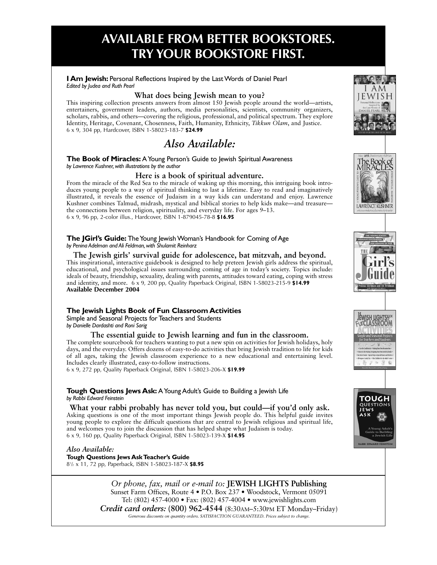# **AVAILABLE FROM BETTER BOOKSTORES. TRY YOUR BOOKSTORE FIRST.**

**I Am Jewish:** Personal Reflections Inspired by the Last Words of Daniel Pearl *Edited by Judea and Ruth Pearl*

#### **What does being Jewish mean to you?**

This inspiring collection presents answers from almost 150 Jewish people around the world—artists, entertainers, government leaders, authors, media personalities, scientists, community organizers, scholars, rabbis, and others—covering the religious, professional, and political spectrum. They explore Identity, Heritage, Covenant, Chosenness, Faith, Humanity, Ethnicity, *Tikkun Olam*, and Justice. 6 x 9, 304 pp, Hardcover, ISBN 1-58023-183-7 **\$24.99**

## *Also Available:*

#### **The Book of Miracles:** A Young Person's Guide to Jewish Spiritual Awareness *by Lawrence Kushner, with illustrations by the author*

#### **Here is a book of spiritual adventure.**

From the miracle of the Red Sea to the miracle of waking up this morning, this intriguing book introduces young people to a way of spiritual thinking to last a lifetime. Easy to read and imaginatively illustrated, it reveals the essence of Judaism in a way kids can understand and enjoy. Lawrence Kushner combines Talmud, midrash, mystical and biblical stories to help kids make—and treasure the connections between religion, spirituality, and everyday life. For ages 9–13. 6 x 9, 96 pp, 2-color illus., Hardcover, ISBN 1-879045-78-8 **\$16.95**

#### **The JGirl's Guide:** The Young Jewish Woman's Handbook for Coming of Age *by Penina Adelman and Ali Feldman, with Shulamit Reinharz*

**The Jewish girls' survival guide for adolescence, bat mitzvah, and beyond.** This inspirational, interactive guidebook is designed to help preteen Jewish girls address the spiritual, educational, and psychological issues surrounding coming of age in today's society. Topics include: ideals of beauty, friendship, sexuality, dealing with parents, attitudes toward eating, coping with stress and identity, and more. 6 x 9, 200 pp, Quality Paperback Original, ISBN 1-58023-215-9 **\$14.99 Available December 2004**

#### **The Jewish Lights Book of Fun Classroom Activities**

Simple and Seasonal Projects for Teachers and Students *by Danielle Dardashti and Roni Sarig*

#### **The essential guide to Jewish learning and fun in the classroom.**

The complete sourcebook for teachers wanting to put a new spin on activities for Jewish holidays, holy days, and the everyday. Offers dozens of easy-to-do activities that bring Jewish tradition to life for kids of all ages, taking the Jewish classroom experience to a new educational and entertaining level. Includes clearly illustrated, easy-to-follow instructions.

6 x 9, 272 pp, Quality Paperback Original, ISBN 1-58023-206-X **\$19.99**

#### **Tough Questions Jews Ask:** A Young Adult's Guide to Building a Jewish Life *by Rabbi Edward Feinstein*

**What your rabbi probably has never told you, but could—if you'd only ask.** Asking questions is one of the most important things Jewish people do. This helpful guide invites young people to explore the difficult questions that are central to Jewish religious and spiritual life, and welcomes you to join the discussion that has helped shape what Judaism is today. 6 x 9, 160 pp, Quality Paperback Original, ISBN 1-58023-139-X **\$14.95**

#### *Also Available:*

**Tough Questions Jews Ask Teacher's Guide** 81 ⁄2 x 11, 72 pp, Paperback, ISBN 1-58023-187-X **\$8.95**